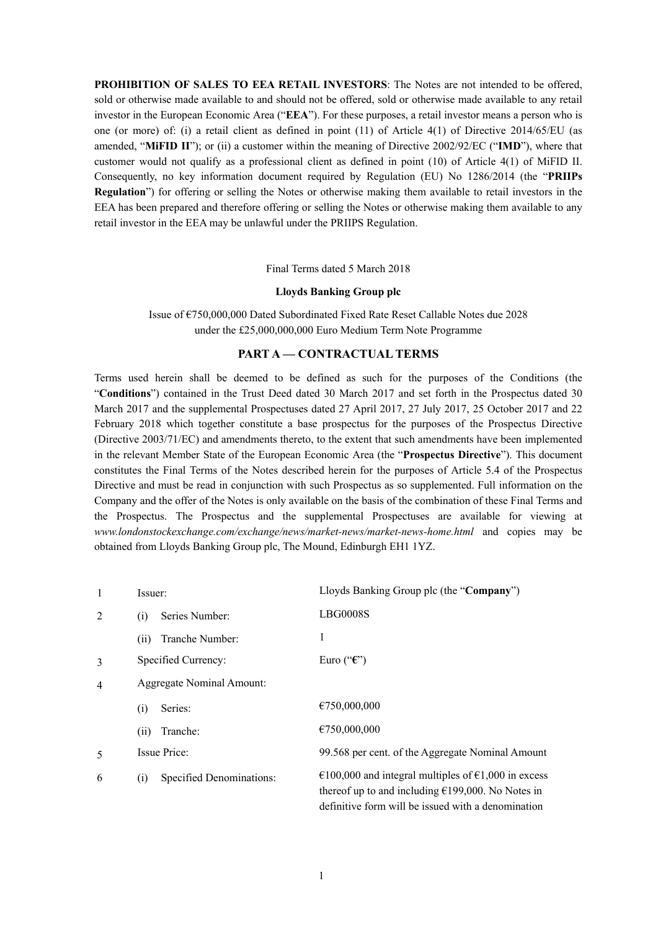**PROHIBITION OF SALES TO EEA RETAIL INVESTORS**: The Notes are not intended to be offered, sold or otherwise made available to and should not be offered, sold or otherwise made available to any retail investor in the European Economic Area ("**EEA**"). For these purposes, a retail investor means a person who is one (or more) of: (i) a retail client as defined in point (11) of Article 4(1) of Directive 2014/65/EU (as amended, "**MiFID II**"); or (ii) a customer within the meaning of Directive 2002/92/EC ("**IMD**"), where that customer would not qualify as a professional client as defined in point (10) of Article 4(1) of MiFID II. Consequently, no key information document required by Regulation (EU) No 1286/2014 (the "**PRIIPs Regulation**") for offering or selling the Notes or otherwise making them available to retail investors in the EEA has been prepared and therefore offering or selling the Notes or otherwise making them available to any retail investor in the EEA may be unlawful under the PRIIPS Regulation.

Final Terms dated 5 March 2018

#### **Lloyds Banking Group plc**

Issue of €750,000,000 Dated Subordinated Fixed Rate Reset Callable Notes due 2028 under the £25,000,000,000 Euro Medium Term Note Programme

### **PART A — CONTRACTUAL TERMS**

Terms used herein shall be deemed to be defined as such for the purposes of the Conditions (the "**Conditions**") contained in the Trust Deed dated 30 March 2017 and set forth in the Prospectus dated 30 March 2017 and the supplemental Prospectuses dated 27 April 2017, 27 July 2017, 25 October 2017 and 22 February 2018 which together constitute a base prospectus for the purposes of the Prospectus Directive (Directive 2003/71/EC) and amendments thereto, to the extent that such amendments have been implemented in the relevant Member State of the European Economic Area (the "**Prospectus Directive**"). This document constitutes the Final Terms of the Notes described herein for the purposes of Article 5.4 of the Prospectus Directive and must be read in conjunction with such Prospectus as so supplemented. Full information on the Company and the offer of the Notes is only available on the basis of the combination of these Final Terms and the Prospectus. The Prospectus and the supplemental Prospectuses are available for viewing at *www.londonstockexchange.com/exchange/news/market-news/market-news-home.html* and copies may be obtained from Lloyds Banking Group plc, The Mound, Edinburgh EH1 1YZ.

| 1              | Issuer:                                       | Lloyds Banking Group plc (the "Company")                                                                                                                          |
|----------------|-----------------------------------------------|-------------------------------------------------------------------------------------------------------------------------------------------------------------------|
| 2              | Series Number:<br>(i)                         | <b>LBG0008S</b>                                                                                                                                                   |
|                | Tranche Number:<br>(11)                       | 1                                                                                                                                                                 |
| 3              | Specified Currency:                           | Euro (" $\mathbf{\hat{\epsilon}}$ ")                                                                                                                              |
| $\overline{4}$ | <b>Aggregate Nominal Amount:</b>              |                                                                                                                                                                   |
|                | Series:<br>(i)                                | €750,000,000                                                                                                                                                      |
|                | Tranche:<br>(ii)                              | €750,000,000                                                                                                                                                      |
| 5              | Issue Price:                                  | 99.568 per cent. of the Aggregate Nominal Amount                                                                                                                  |
| 6              | Specified Denominations:<br>$\left( 1\right)$ | €100,000 and integral multiples of €1,000 in excess<br>thereof up to and including $£199,000$ . No Notes in<br>definitive form will be issued with a denomination |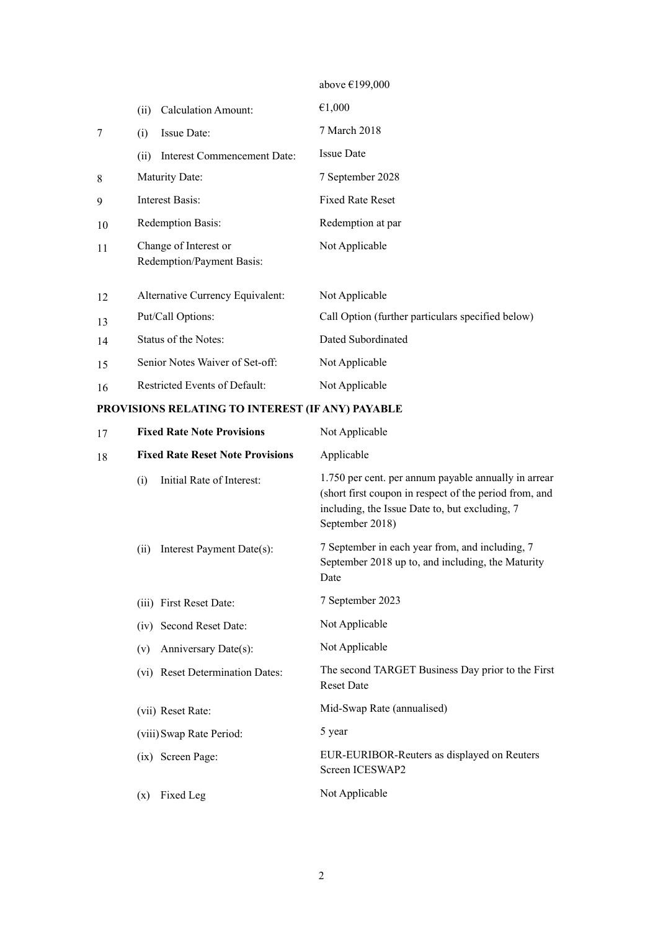|    |                                                    | above €199,000                                    |
|----|----------------------------------------------------|---------------------------------------------------|
|    | <b>Calculation Amount:</b><br>(ii)                 | €1,000                                            |
| 7  | Issue Date:<br>(i)                                 | 7 March 2018                                      |
|    | Interest Commencement Date:<br>(ii)                | <b>Issue Date</b>                                 |
| 8  | <b>Maturity Date:</b>                              | 7 September 2028                                  |
| 9  | Interest Basis:                                    | <b>Fixed Rate Reset</b>                           |
| 10 | Redemption Basis:                                  | Redemption at par                                 |
| 11 | Change of Interest or<br>Redemption/Payment Basis: | Not Applicable                                    |
| 12 | Alternative Currency Equivalent:                   | Not Applicable                                    |
| 13 | Put/Call Options:                                  | Call Option (further particulars specified below) |
| 14 | Status of the Notes:                               | Dated Subordinated                                |
| 15 | Senior Notes Waiver of Set-off:                    | Not Applicable                                    |
| 16 | <b>Restricted Events of Default:</b>               | Not Applicable                                    |

## **PROVISIONS RELATING TO INTEREST (IF ANY) PAYABLE**

| 17 | <b>Fixed Rate Note Provisions</b>       | Not Applicable                                                                                                                                                                      |
|----|-----------------------------------------|-------------------------------------------------------------------------------------------------------------------------------------------------------------------------------------|
| 18 | <b>Fixed Rate Reset Note Provisions</b> | Applicable                                                                                                                                                                          |
|    | Initial Rate of Interest:<br>(i)        | 1.750 per cent. per annum payable annually in arrear<br>(short first coupon in respect of the period from, and<br>including, the Issue Date to, but excluding, 7<br>September 2018) |
|    | Interest Payment Date(s):<br>(ii)       | 7 September in each year from, and including, 7<br>September 2018 up to, and including, the Maturity<br>Date                                                                        |
|    | (iii) First Reset Date:                 | 7 September 2023                                                                                                                                                                    |
|    | (iv) Second Reset Date:                 | Not Applicable                                                                                                                                                                      |
|    | Anniversary Date(s):<br>(v)             | Not Applicable                                                                                                                                                                      |
|    | (vi) Reset Determination Dates:         | The second TARGET Business Day prior to the First<br><b>Reset Date</b>                                                                                                              |
|    | (vii) Reset Rate:                       | Mid-Swap Rate (annualised)                                                                                                                                                          |
|    | (viii) Swap Rate Period:                | 5 year                                                                                                                                                                              |
|    | (ix) Screen Page:                       | EUR-EURIBOR-Reuters as displayed on Reuters<br>Screen ICESWAP2                                                                                                                      |
|    | Fixed Leg<br>(x)                        | Not Applicable                                                                                                                                                                      |
|    |                                         |                                                                                                                                                                                     |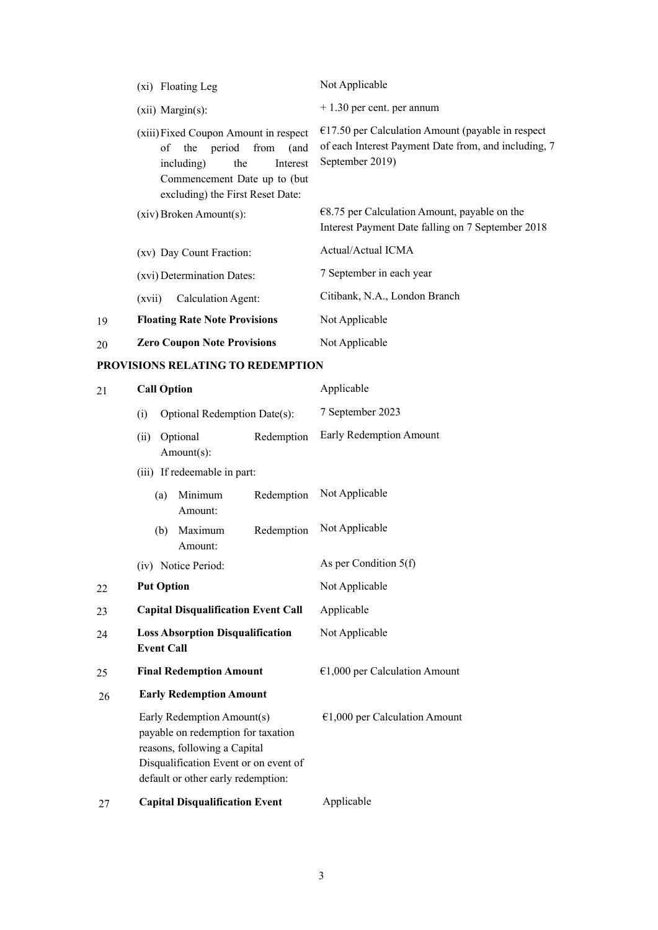|                                   | (xi) Floating Leg                                                                                                                                                            | Not Applicable                                                                                                                 |
|-----------------------------------|------------------------------------------------------------------------------------------------------------------------------------------------------------------------------|--------------------------------------------------------------------------------------------------------------------------------|
|                                   | $(xii)$ Margin $(s)$ :                                                                                                                                                       | $+1.30$ per cent. per annum                                                                                                    |
|                                   | (xiii) Fixed Coupon Amount in respect<br>from<br>of the period<br>(and<br>including)<br>the<br>Interest<br>Commencement Date up to (but)<br>excluding) the First Reset Date: | $€17.50$ per Calculation Amount (payable in respect<br>of each Interest Payment Date from, and including, 7<br>September 2019) |
|                                   | $(xiv)$ Broken Amount $(s)$ :                                                                                                                                                | $€8.75$ per Calculation Amount, payable on the<br>Interest Payment Date falling on 7 September 2018                            |
|                                   | (xv) Day Count Fraction:                                                                                                                                                     | Actual/Actual ICMA                                                                                                             |
|                                   | (xvi) Determination Dates:                                                                                                                                                   | 7 September in each year                                                                                                       |
|                                   | Calculation Agent:<br>(xvii)                                                                                                                                                 | Citibank, N.A., London Branch                                                                                                  |
| 19                                | <b>Floating Rate Note Provisions</b>                                                                                                                                         | Not Applicable                                                                                                                 |
| 20                                | <b>Zero Coupon Note Provisions</b>                                                                                                                                           | Not Applicable                                                                                                                 |
| PROVISIONS RELATING TO REDEMPTION |                                                                                                                                                                              |                                                                                                                                |

| 21 | <b>Call Option</b>                                                                                                                                                              |            | Applicable                      |
|----|---------------------------------------------------------------------------------------------------------------------------------------------------------------------------------|------------|---------------------------------|
|    | (i)<br>Optional Redemption Date(s):                                                                                                                                             |            | 7 September 2023                |
|    | Optional<br>(ii)<br>Amount(s):                                                                                                                                                  | Redemption | Early Redemption Amount         |
|    | (iii) If redeemable in part:                                                                                                                                                    |            |                                 |
|    | Minimum<br>(a)<br>Amount:                                                                                                                                                       | Redemption | Not Applicable                  |
|    | Maximum<br>(b)<br>Amount:                                                                                                                                                       | Redemption | Not Applicable                  |
|    | (iv) Notice Period:                                                                                                                                                             |            | As per Condition $5(f)$         |
| 22 | <b>Put Option</b>                                                                                                                                                               |            | Not Applicable                  |
| 23 | <b>Capital Disqualification Event Call</b>                                                                                                                                      |            | Applicable                      |
| 24 | <b>Loss Absorption Disqualification</b><br><b>Event Call</b>                                                                                                                    |            | Not Applicable                  |
| 25 | <b>Final Redemption Amount</b>                                                                                                                                                  |            | $€1,000$ per Calculation Amount |
| 26 | <b>Early Redemption Amount</b>                                                                                                                                                  |            |                                 |
|    | Early Redemption Amount(s)<br>payable on redemption for taxation<br>reasons, following a Capital<br>Disqualification Event or on event of<br>default or other early redemption: |            | $€1,000$ per Calculation Amount |
| 27 | <b>Capital Disqualification Event</b>                                                                                                                                           |            | Applicable                      |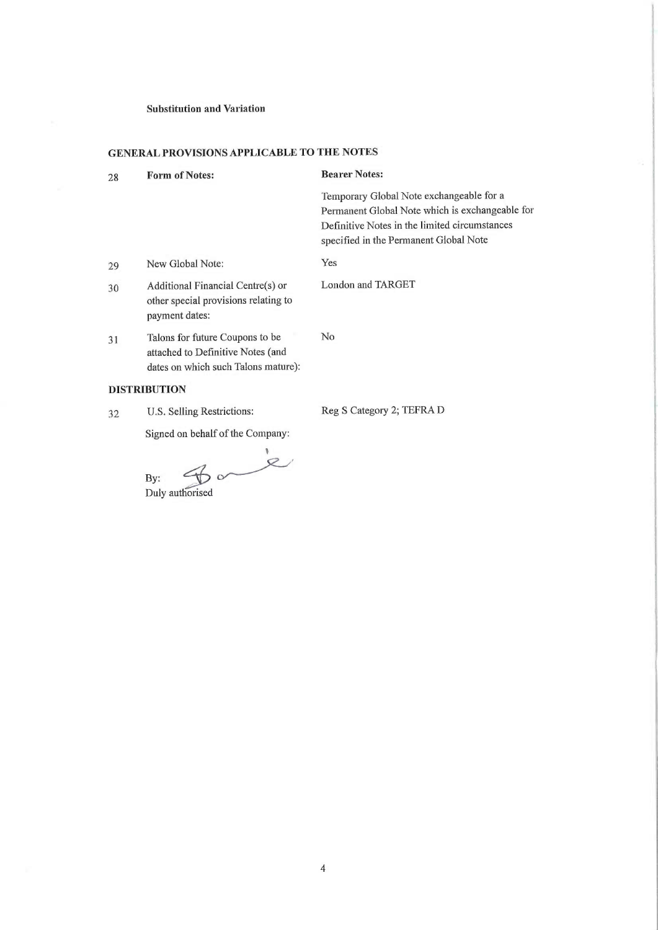### **Substitution and Variation**

# GENERAL PROVISIONS APPLICABLE TO THE NOTES

| 28 | <b>Form of Notes:</b>                                                                                        | <b>Bearer Notes:</b>                                                                                                                                                                   |
|----|--------------------------------------------------------------------------------------------------------------|----------------------------------------------------------------------------------------------------------------------------------------------------------------------------------------|
|    |                                                                                                              | Temporary Global Note exchangeable for a<br>Permanent Global Note which is exchangeable for<br>Definitive Notes in the limited circumstances<br>specified in the Permanent Global Note |
| 29 | New Global Note:                                                                                             | Yes                                                                                                                                                                                    |
| 30 | Additional Financial Centre(s) or<br>other special provisions relating to<br>payment dates:                  | London and TARGET                                                                                                                                                                      |
| 31 | Talons for future Coupons to be.<br>attached to Definitive Notes (and<br>dates on which such Talons mature): | No                                                                                                                                                                                     |
|    | <b>DISTRIBUTION</b>                                                                                          |                                                                                                                                                                                        |
| 32 | U.S. Selling Restrictions:                                                                                   | Reg S Category 2; TEFRA D                                                                                                                                                              |

Signed on behalf of the Company:

 $\mathbf{B}$ <br>By:  $\mathbf{B}$   $\mathbf{C}$ 

 $\overline{4}$